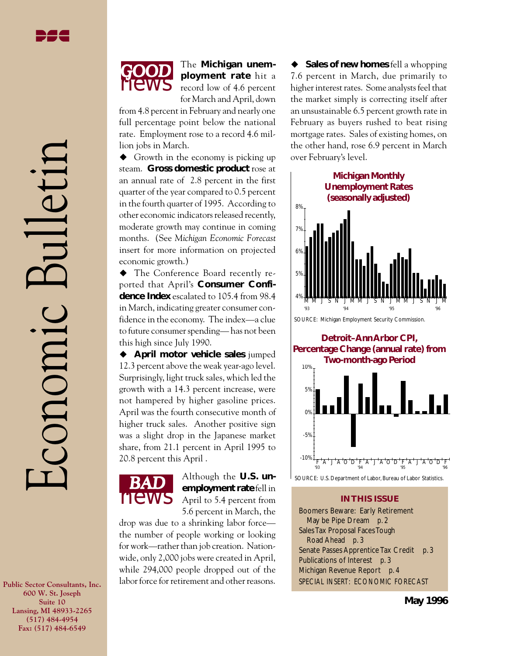Economic Bulletin

conomic

 $|||e^t||$ 



The **Michigan unemployment rate** hit a record low of 4.6 percent for March and April, down

from 4.8 percent in February and nearly one full percentage point below the national rate. Employment rose to a record 4.6 million jobs in March.

 $\blacklozenge$  Growth in the economy is picking up steam. **Gross domestic product** rose at an annual rate of 2.8 percent in the first quarter of the year compared to 0.5 percent in the fourth quarter of 1995. According to other economic indicators released recently, moderate growth may continue in coming months. (See *Michigan Economic Forecast* insert for more information on projected economic growth.)

 $\blacklozenge$  The Conference Board recently reported that April's **Consumer Confidence Index** escalated to 105.4 from 98.4 in March, indicating greater consumer confidence in the economy. The index—a clue to future consumer spending— has not been this high since July 1990.

◆ April motor vehicle sales jumped 12.3 percent above the weak year-ago level. Surprisingly, light truck sales, which led the growth with a 14.3 percent increase, were not hampered by higher gasoline prices. April was the fourth consecutive month of higher truck sales. Another positive sign was a slight drop in the Japanese market share, from 21.1 percent in April 1995 to 20.8 percent this April .



*BAD* Although the **U.S. un-employment rate** fell in April to 5.4 percent from 5.6 percent in March, the

drop was due to a shrinking labor force the number of people working or looking for work—rather than job creation. Nationwide, only 2,000 jobs were created in April, while 294,000 people dropped out of the labor force for retirement and other reasons.

◆ Sales of new homes fell a whopping 7.6 percent in March, due primarily to higher interest rates. Some analysts feel that the market simply is correcting itself after an unsustainable 6.5 percent growth rate in February as buyers rushed to beat rising mortgage rates. Sales of existing homes, on the other hand, rose 6.9 percent in March over February's level.



SOURCE: U.S. Department of Labor, Bureau of Labor Statistics.

 $A^{\dagger}$  J  $A^{\dagger}$ O  $B^{\dagger}$   $\overline{A}^{\dagger}$  J  $A^{\dagger}$ O  $\overline{O}^{\dagger}$   $\overline{A}^{\dagger}$  J  $\overline{A}^{\dagger}$ O  $\overline{O}^{\dagger}$   $\overline{B}^{\dagger}$   $\overline{A}^{\dagger}$ 

-10%

#### **IN THIS ISSUE**

Boomers Beware: Early Retirement May be Pipe Dream *p. 2* Sales Tax Proposal Faces Tough Road Ahead *p. 3* Senate Passes Apprentice Tax Credit *p. 3* Publications of Interest *p. 3* Michigan Revenue Report *p. 4* SPECIAL INSERT: ECONOMIC FORECAST

**Public Sector Consultants, Inc. 600 W. St. Joseph Suite 10 Lansing, MI 48933-2265 (517) 484-4954 Fax: (517) 484-6549**

**May 1996**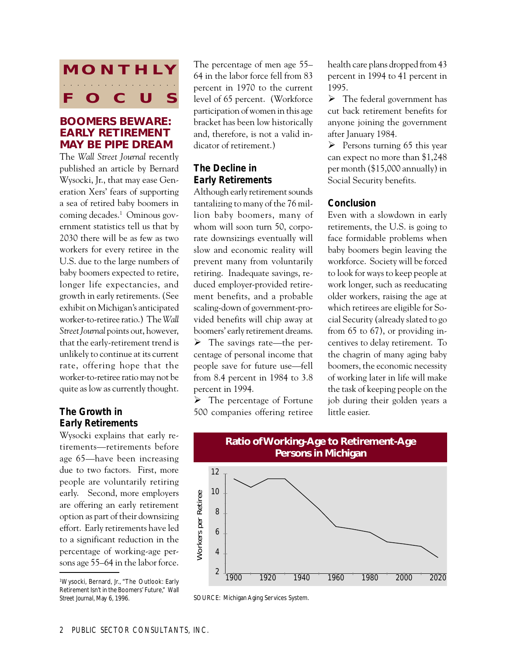# **MONTHLY FOCUS** aaaa aaaaaaaaaaaaa

#### **BOOMERS BEWARE: EARLY RETIREMENT MAY BE PIPE DREAM**

The *Wall Street Journal* recently published an article by Bernard Wysocki, Jr., that may ease Generation Xers' fears of supporting a sea of retired baby boomers in coming decades.1 Ominous government statistics tell us that by 2030 there will be as few as two workers for every retiree in the U.S. due to the large numbers of baby boomers expected to retire, longer life expectancies, and growth in early retirements. (See exhibit on Michigan's anticipated worker-to-retiree ratio.) The *Wall Street Journal* points out, however, that the early-retirement trend is unlikely to continue at its current rate, offering hope that the worker-to-retiree ratio may not be quite as low as currently thought.

#### *The Growth in Early Retirements*

Wysocki explains that early retirements—retirements before age 65—have been increasing due to two factors. First, more people are voluntarily retiring early. Second, more employers are offering an early retirement option as part of their downsizing effort. Early retirements have led to a significant reduction in the percentage of working-age persons age 55–64 in the labor force.

1 Wysocki, Bernard, Jr., "The Outlook: Early Retirement Isn't in the Boomers' Future," *Wall Street Journal*, May 6, 1996.

The percentage of men age 55– 64 in the labor force fell from 83 percent in 1970 to the current level of 65 percent. (Workforce participation of women in this age bracket has been low historically and, therefore, is not a valid indicator of retirement.)

### *The Decline in Early Retirements*

Although early retirement sounds tantalizing to many of the 76 million baby boomers, many of whom will soon turn 50, corporate downsizings eventually will slow and economic reality will prevent many from voluntarily retiring. Inadequate savings, reduced employer-provided retirement benefits, and a probable scaling-down of government-provided benefits will chip away at boomers' early retirement dreams.  $\triangleright$  The savings rate—the percentage of personal income that people save for future use—fell

 $\triangleright$  The percentage of Fortune 500 companies offering retiree

from 8.4 percent in 1984 to 3.8

percent in 1994.

health care plans dropped from 43 percent in 1994 to 41 percent in 1995.

 $\triangleright$  The federal government has cut back retirement benefits for anyone joining the government after January 1984.

 $\triangleright$  Persons turning 65 this year can expect no more than \$1,248 per month (\$15,000 annually) in Social Security benefits.

#### *Conclusion*

Even with a slowdown in early retirements, the U.S. is going to face formidable problems when baby boomers begin leaving the workforce. Society will be forced to look for ways to keep people at work longer, such as reeducating older workers, raising the age at which retirees are eligible for Social Security (already slated to go from 65 to 67), or providing incentives to delay retirement. To the chagrin of many aging baby boomers, the economic necessity of working later in life will make the task of keeping people on the job during their golden years a little easier.



SOURCE: Michigan Aging Services System.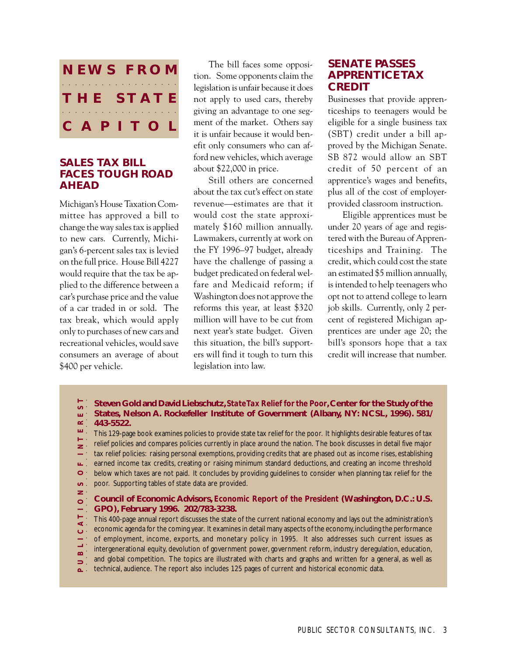

#### **SALES TAX BILL FACES TOUGH ROAD AHEAD**

Michigan's House Taxation Committee has approved a bill to change the way sales tax is applied to new cars. Currently, Michigan's 6-percent sales tax is levied on the full price. House Bill 4227 would require that the tax be applied to the difference between a car's purchase price and the value of a car traded in or sold. The tax break, which would apply only to purchases of new cars and recreational vehicles, would save consumers an average of about \$400 per vehicle.

The bill faces some opposition. Some opponents claim the legislation is unfair because it does not apply to used cars, thereby giving an advantage to one segment of the market. Others say it is unfair because it would benefit only consumers who can afford new vehicles, which average about \$22,000 in price.

Still others are concerned about the tax cut's effect on state revenue—estimates are that it would cost the state approximately \$160 million annually. Lawmakers, currently at work on the FY 1996–97 budget, already have the challenge of passing a budget predicated on federal welfare and Medicaid reform; if Washington does not approve the reforms this year, at least \$320 million will have to be cut from next year's state budget. Given this situation, the bill's supporters will find it tough to turn this legislation into law.

## **SENATE PASSES APPRENTICE TAX CREDIT**

Businesses that provide apprenticeships to teenagers would be eligible for a single business tax (SBT) credit under a bill approved by the Michigan Senate. SB 872 would allow an SBT credit of 50 percent of an apprentice's wages and benefits, plus all of the cost of employerprovided classroom instruction.

Eligible apprentices must be under 20 years of age and registered with the Bureau of Apprenticeships and Training. The credit, which could cost the state an estimated \$5 million annually, is intended to help teenagers who opt not to attend college to learn job skills. Currently, only 2 percent of registered Michigan apprentices are under age 20; the bill's sponsors hope that a tax credit will increase that number.

- **Steven Gold and David Liebschutz,** *State Tax Relief for the Poor***, Center for the Study of the States, Nelson A. Rockefeller Institute of Government (Albany, NY: NCSL, 1996). 581/** ш÷  $\simeq$   $^{-1}$ **443-5522.**
- **P U B L I C A T I O N S O F I N T E R E S T** aaaaaaaaaaaaaaaaaaaaaaaaaaa шŢ. This 129-page book examines policies to provide state tax relief for the poor. It highlights desirable features of tax relief policies and compares policies currently in place around the nation. The book discusses in detail five major  $\mathbf{z}$ tax relief policies: raising personal exemptions, providing credits that are phased out as income rises, establishing earned income tax credits, creating or raising minimum standard deductions, and creating an income threshold ш.  $\circ$ below which taxes are not paid. It concludes by providing guidelines to consider when planning tax relief for the poor. Supporting tables of state data are provided.  $\sigma_{\pm}$
- $\geq$

#### $\circ$ **Council of Economic Advisors,** *Economic Report of the President* **(Washington, D.C.: U.S. GPO), February 1996. 202/783-3238.**

 $\Xi^1$ This 400-page annual report discusses the state of the current national economy and lays out the administration's  $\prec$  . economic agenda for the coming year. It examines in detail many aspects of the economy, including the performance  $\circ$ of employment, income, exports, and monetary policy in 1995. It also addresses such current issues as intergenerational equity, devolution of government power, government reform, industry deregulation, education,

- $\infty$ . and global competition. The topics are illustrated with charts and graphs and written for a general, as well as
- $\Box$ technical, audience. The report also includes 125 pages of current and historical economic data.